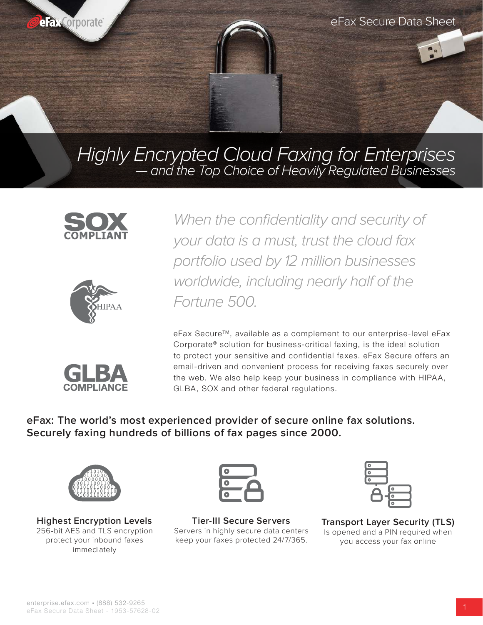

Highly Encrypted Cloud Faxing for Enterprises — and the Top Choice of Heavily Regulated Businesses







When the confidentiality and security of your data is a must, trust the cloud fax portfolio used by 12 million businesses worldwide, including nearly half of the Fortune 500.

eFax Secure™, available as a complement to our enterprise-level eFax Corporate<sup>®</sup> solution for business-critical faxing, is the ideal solution to protect your sensitive and confidential faxes. eFax Secure offers an email-driven and convenient process for receiving faxes securely over the web. We also help keep your business in compliance with HIPAA, GLBA, SOX and other federal regulations.

**eFax: The world's most experienced provider of secure online fax solutions. Securely faxing hundreds of billions of fax pages since 2000.**



**Highest Encryption Levels** 256-bit AES and TLS encryption protect your inbound faxes immediately



**Tier-III Secure Servers** Servers in highly secure data centers keep your faxes protected 24/7/365.



**Transport Layer Security (TLS)** Is opened and a PIN required when you access your fax online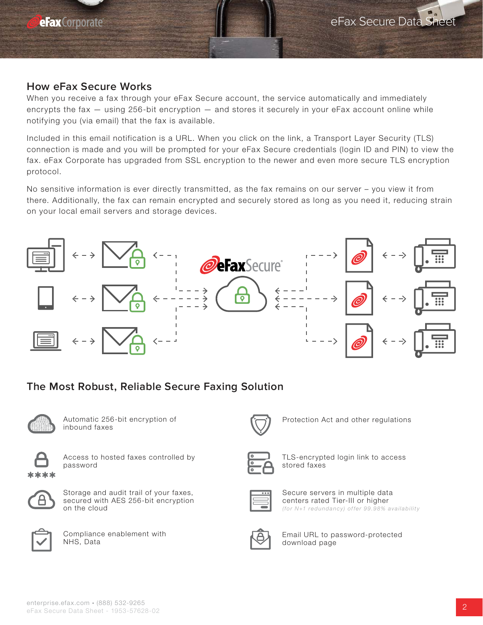## **How eFax Secure Works**

When you receive a fax through your eFax Secure account, the service automatically and immediately encrypts the fax — using 256-bit encryption — and stores it securely in your eFax account online while notifying you (via email) that the fax is available.

Included in this email notification is a URL. When you click on the link, a Transport Layer Security (TLS) connection is made and you will be prompted for your eFax Secure credentials (login ID and PIN) to view the fax. eFax Corporate has upgraded from SSL encryption to the newer and even more secure TLS encryption protocol.

No sensitive information is ever directly transmitted, as the fax remains on our server – you view it from there. Additionally, the fax can remain encrypted and securely stored as long as you need it, reducing strain on your local email servers and storage devices.



## **The Most Robust, Reliable Secure Faxing Solution**



Automatic 256-bit encryption of inbound faxes



Access to hosted faxes controlled by password



Storage and audit trail of your faxes, secured with AES 256-bit encryption on the cloud



Compliance enablement with NHS, Data



Protection Act and other regulations



TLS-encrypted login link to access stored faxes



Secure servers in multiple data centers rated Tier-III or higher (for N+1 redundancy) offer 99.98% availability



Email URL to password-protected download page